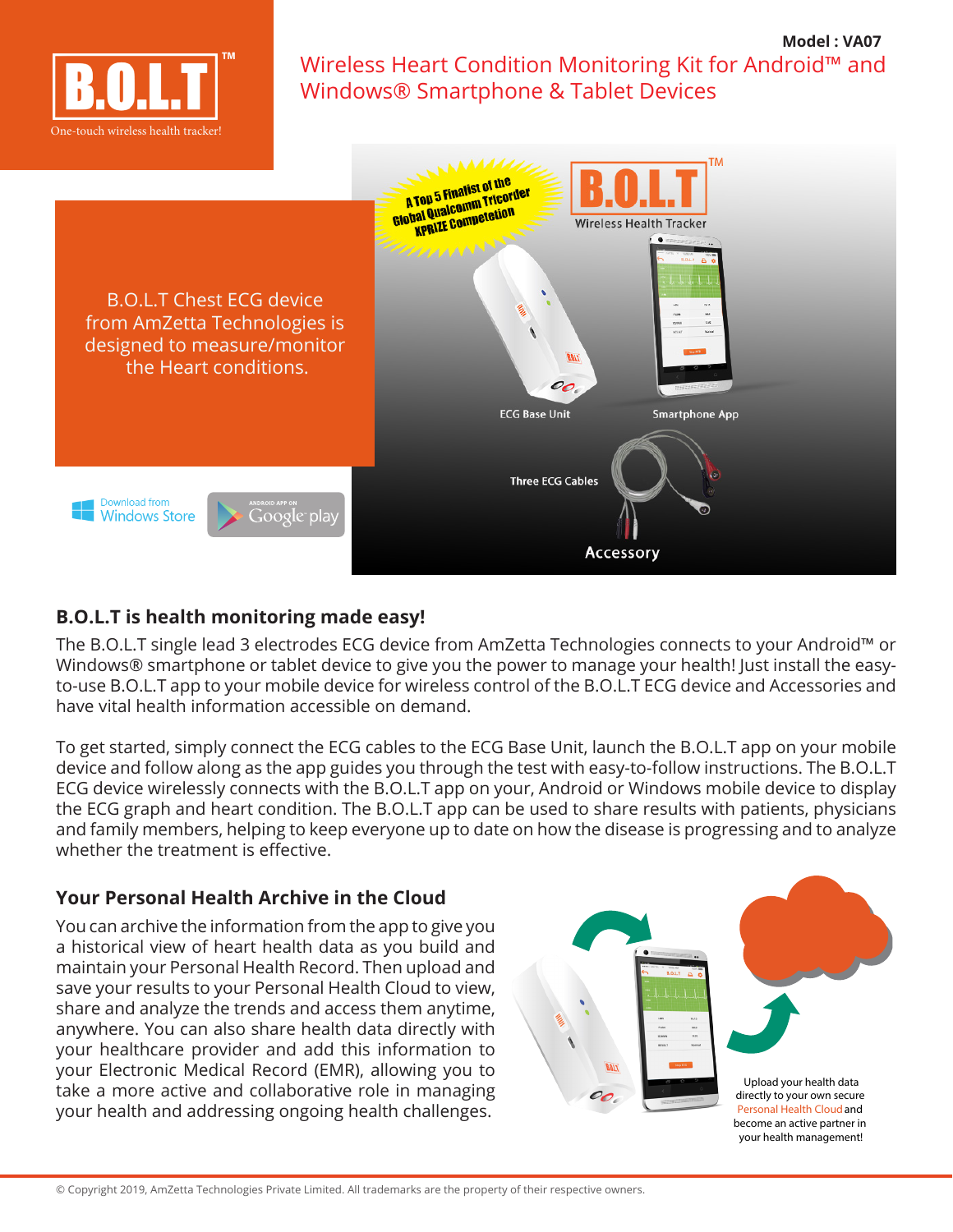

## Wireless Heart Condition Monitoring Kit for Android™ and Windows® Smartphone & Tablet Devices **Model : VA07**



## **B.O.L.T is health monitoring made easy!**

The B.O.L.T single lead 3 electrodes ECG device from AmZetta Technologies connects to your Android™ or Windows® smartphone or tablet device to give you the power to manage your health! Just install the easyto-use B.O.L.T app to your mobile device for wireless control of the B.O.L.T ECG device and Accessories and have vital health information accessible on demand.

To get started, simply connect the ECG cables to the ECG Base Unit, launch the B.O.L.T app on your mobile device and follow along as the app guides you through the test with easy-to-follow instructions. The B.O.L.T ECG device wirelessly connects with the B.O.L.T app on your, Android or Windows mobile device to display the ECG graph and heart condition. The B.O.L.T app can be used to share results with patients, physicians and family members, helping to keep everyone up to date on how the disease is progressing and to analyze whether the treatment is effective.

## **Your Personal Health Archive in the Cloud**

You can archive the information from the app to give you a historical view of heart health data as you build and maintain your Personal Health Record. Then upload and save your results to your Personal Health Cloud to view, share and analyze the trends and access them anytime, anywhere. You can also share health data directly with your healthcare provider and add this information to your Electronic Medical Record (EMR), allowing you to take a more active and collaborative role in managing your health and addressing ongoing health challenges.

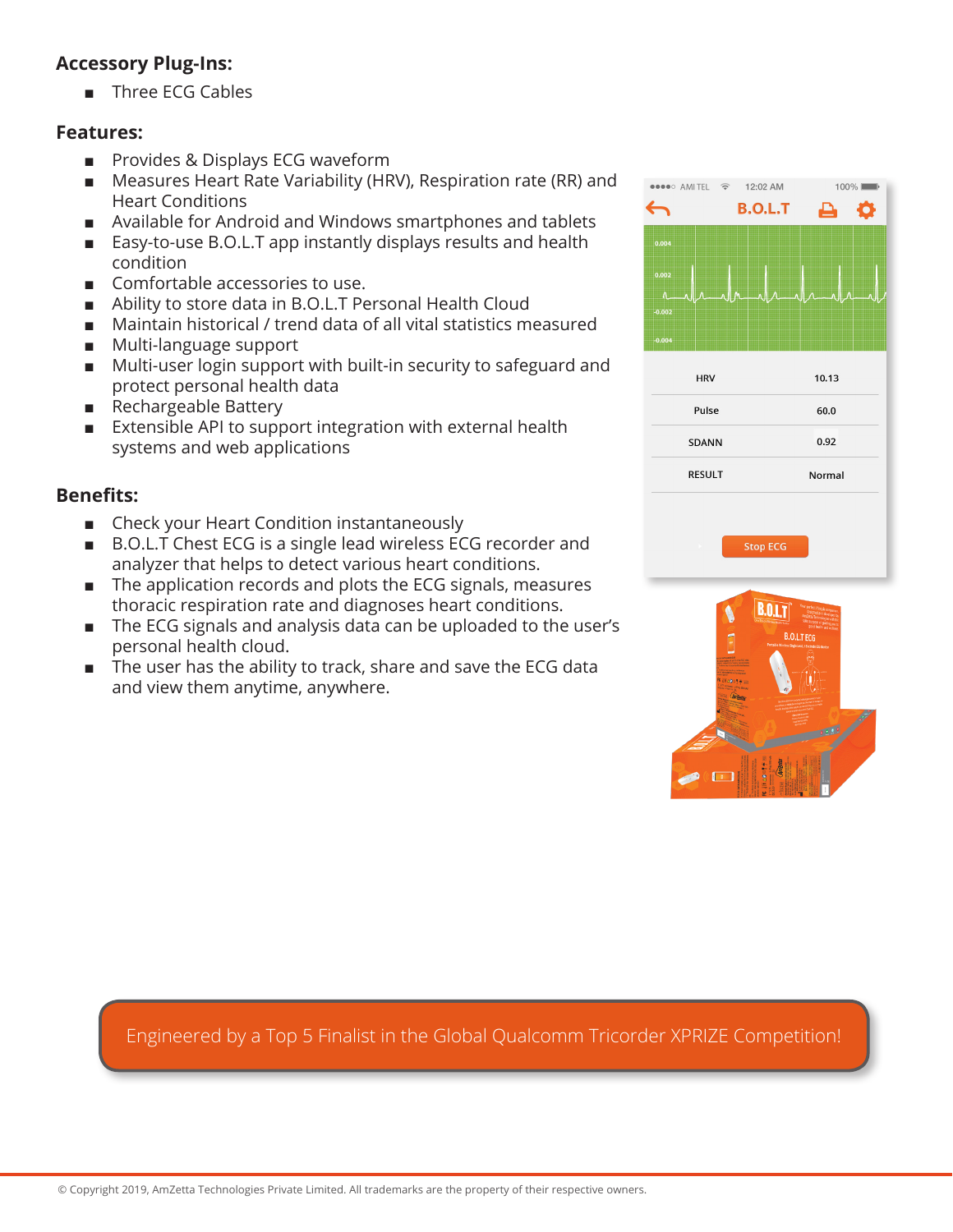### **Accessory Plug-Ins:**

■ Three ECG Cables

### **Features:**

- Provides & Displays ECG waveform
- Measures Heart Rate Variability (HRV), Respiration rate (RR) and Heart Conditions
- Available for Android and Windows smartphones and tablets
- Easy-to-use B.O.L.T app instantly displays results and health condition
- Comfortable accessories to use.
- Ability to store data in B.O.L.T Personal Health Cloud
- Maintain historical / trend data of all vital statistics measured
- Multi-language support
- Multi-user login support with built-in security to safeguard and protect personal health data
- Rechargeable Battery
- Extensible API to support integration with external health systems and web applications

### **Benefits:**

- Check your Heart Condition instantaneously
- B.O.L.T Chest ECG is a single lead wireless ECG recorder and analyzer that helps to detect various heart conditions.
- The application records and plots the ECG signals, measures thoracic respiration rate and diagnoses heart conditions.
- The ECG signals and analysis data can be uploaded to the user's personal health cloud.
- The user has the ability to track, share and save the ECG data and view them anytime, anywhere.





## Engineered by a Top 5 Finalist in the Global Qualcomm Tricorder XPRIZE Competition!